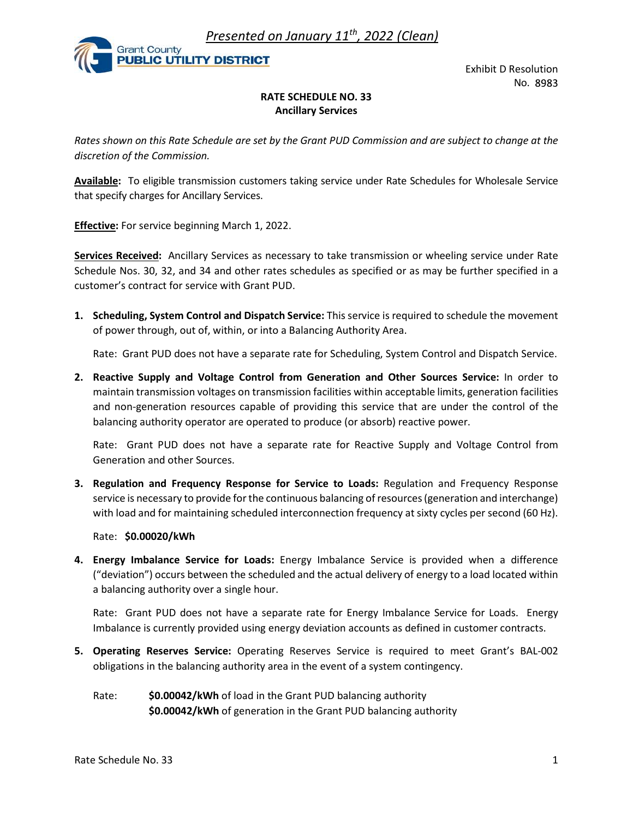Presented on January  $11^{th}$ , 2022 (Clean)



Exhibit D Resolution<br>No. 8983<br>Express on the Net to change at the No. 8983

## RATE SCHEDULE NO. 33 Ancillary Services

Rates shown on this Rate Schedule are set by the Grant PUD Commission and are subject to change at the discretion of the Commission. **Example 19 Analy Presented on January 11<sup>th</sup>, 2022 (Clean)**<br> **Exhibit D Re**<br> **Exhibit D Re**<br> **Exhibit D Re**<br> **Exhibit D Re**<br> **Exhibit D Re**<br> **Exhibit D Re**<br> **Exhibit D Re**<br> **Exhibit D Re**<br> **Exhibit D Re**<br> **Exhibit D Re**<br>

Available: To eligible transmission customers taking service under Rate Schedules for Wholesale Service

**Effective:** For service beginning March 1, 2022.

Services Received: Ancillary Services as necessary to take transmission or wheeling service under Rate Schedule Nos. 30, 32, and 34 and other rates schedules as specified or as may be further specified in a customer's contract for service with Grant PUD. EXAMBLE CUTILITY DISTRICT EXAMBLE AND RATE SCHEDULE NO. 33<br>
Ancillary Services<br>
Ancies shown on this Rate Schedule are set by the Grant PUD Commission and are subject to change at the<br>
discretion of the Commission.<br>
Ancill

of power through, out of, within, or into a Balancing Authority Area.

Rate: Grant PUD does not have a separate rate for Scheduling, System Control and Dispatch Service.

Rates shown on this Rate Schedule are set by the Grant PUD Commission and are subject to change at the<br>discretion of the Commission.<br>**Available:** To eligible transmission customers taking service under Rate Schedules for W maintain transmission voltages on transmission facilities within acceptable limits, generation facilities and non-generation resources capable of providing this service that are under the control of the balancing authority operator are operated to produce (or absorb) reactive power. Effective: For service beginning March 1, 2022.<br>
Services Received: Ancillary Services as necessary to take transmission or wheeling service under Rate<br>
Schedule Nos. 30, 32, and 34 and other rates schedules as specified o 1. **Scheduling, System Control and Dispatch Service**: This service is required to schedule the movement<br>
of power through, out of, within, or into a Balancing Authority Area.<br>
Rate: Grant PUD does not have a separate rate

Rate: Grant PUD does not have a separate rate for Reactive Supply and Voltage Control from Generation and other Sources.

service is necessary to provide for the continuous balancing of resources (generation and interchange) with load and for maintaining scheduled interconnection frequency at sixty cycles per second (60 Hz).

## Rate: \$0.00020/kWh

("deviation") occurs between the scheduled and the actual delivery of energy to a load located within a balancing authority over a single hour. maind transmission voticages on transmission ractures within acceptable units, generation ractures<br>and non-generation resources capable of providing this service that are under to not ol of the<br>balancing authority operator

Rate: Grant PUD does not have a separate rate for Energy Imbalance Service for Loads. Energy Imbalance is currently provided using energy deviation accounts as defined in customer contracts.

- obligations in the balancing authority area in the event of a system contingency.
	- Rate:  $$0.00042/kWh$  of load in the Grant PUD balancing authority \$0.00042/kWh of generation in the Grant PUD balancing authority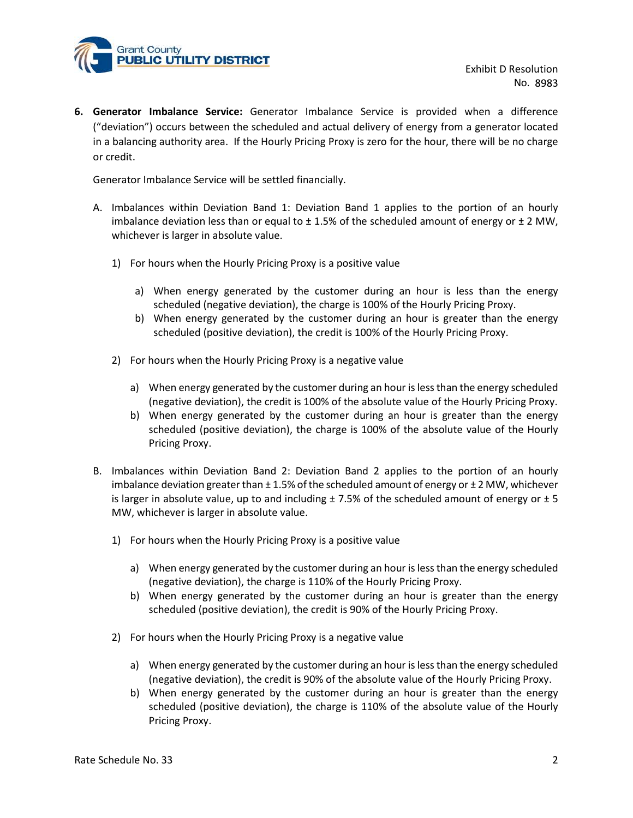

Exhibit D Resolution<br>
No. 8983<br>
when a difference<br>
a generator located<br>
ere will be no charge **EXAMPLE COVERT COVERT EXAMPLE COVERT COVERT COVERT COVERT COVERT COVERT COVERT COVERT COVERT COVERT COVERT COVERT COVERT COVERT COVERT COVERT COVERT COVERT COVERT COVERT COVERT COVERT COVERT COVERT COVERT COVERT COVERT CO** ("deviation") occurs between the scheduled and actual delivery of energy from a generator located in a balancing authority area. If the Hourly Pricing Proxy is zero for the hour, there will be no charge or credit. **EXECUTE SECT EXECT COMPLATE SECT CONDUM** THE SECT EXPRESSIVE TO RESOLUTION THE SECTOR OF CONSIDENTIES ("eleviation") occurs between the scheduled and actual delivery of energy from a generator located in a balancing auth **Exhibit D Resolution**<br> **Exhibit D Resolution**<br> **Exhibit D Resolution**<br>
No. 8983<br> **erator Imbalance Service**: Generator Imbalance Service is provided when a difference<br>
witation<sup>2</sup>) occurs between the scheduled and actual and County<br> **Exhibit D Resolution**<br>
1998 or **Imbalance Service:** Generator Imbalance Service is provided when a difference<br>
2007)<br>
Socurs between the scheduled and actual delivery of energy from a generator located<br>
2017)<br> Exhibit D Resolution<br>
No. 8983<br>
by Thromanne Service: Generator Imbalance Service is provided when a difference<br>
orn") occurs between the scheduled and actual delivery of energy from a generator located<br>
oring authority ar erator Imbalance Service: Generator Imbalance Service is provided when a difference<br>viation") occurs between the scheduled and actual delivery of energy from a generator located<br>balancing authority area. If the Hourly Pric

Generator Imbalance Service will be settled financially.

- imbalance deviation less than or equal to  $\pm$  1.5% of the scheduled amount of energy or  $\pm$  2 MW, whichever is larger in absolute value.
	- - scheduled (negative deviation), the charge is 100% of the Hourly Pricing Proxy.
		- scheduled (positive deviation), the credit is 100% of the Hourly Pricing Proxy.
	- - (negative deviation), the credit is 100% of the absolute value of the Hourly Pricing Proxy.
- on youth so exvere in estimation and the studied tend tend the customer profer the fouring authority area. If the Hourly Pricing Proxy is zero for the hour, there will be no charge or Imbalance Service will be settled fina Commission and the settled financially.<br>
Shalances Swithin Deviation Band 1: Deviation Band 1 applies to the portion of an hourly<br>
alance deviation less than or equal to  $\pm$  1.5% of the scheduled amount of energy or  $\pm$ scheduled (positive deviation), the charge is 100% of the absolute value of the Hourly Pricing Proxy.
- Imbalance deviation less than or equal to  $\pm 1.5\%$  of the scheduled amount of energy or  $\pm 2$  MW,<br>whichever is larger in absolute value.<br>1) For hours when the Hourly Pricing Proxy is a positive value<br>a) When energy gen imbalance deviation greater than  $\pm$  1.5% of the scheduled amount of energy or  $\pm$  2 MW, whichever is larger in absolute value, up to and including  $\pm$  7.5% of the scheduled amount of energy or  $\pm$  5 MW, whichever is larger in absolute value. a) When energy generated by the customer during an hour is less than the energy<br>
schelduel (negative deviation), the charge is 100% of the Hourly Pricing Proxy.<br>
b) When energy generated by the customer during an hour i b) When energy generated by the customer during an hour is greater than the energy scheduled (positive deviation), the credit is 100% of the Hourly Pricing Proxy.<br>For hours when the Hourly Pricing Proxy is a negative valu For hours when the Hourly Pricing Proxy is a negative value a) When energy generated by the customer during an hour is less than the energy scheduled (negative deviation), the creater is 100% of the absolute value of the a) When energy generated by the customer during an hour is less than the energy scheduled<br>
(negative deviation), the credit is 100% of the absolute value of the Hourly Pricing Proxy.<br>
Unbalances within Deviation and 2: De b) When energy generated by the customer during an hour is greater than the energy scheduled (positive deviation), the charge is 100% of the absolute value of the Hourly Pricing Proxy.<br>
alances within Deviation Band 2: De **By the customer state of the customer during and the customer of the customer of the customer deviation generate than**  $\pm$  **1.5% of the scheduled amount of energy or**  $\pm$  **2 MW, whichever during the culturing an hour local** 
	- - (negative deviation), the charge is 110% of the Hourly Pricing Proxy.
		- scheduled (positive deviation), the credit is 90% of the Hourly Pricing Proxy.
	- - (negative deviation), the credit is 90% of the absolute value of the Hourly Pricing Proxy.
		- scheduled (positive deviation), the charge is 110% of the absolute value of the Hourly Pricing Proxy.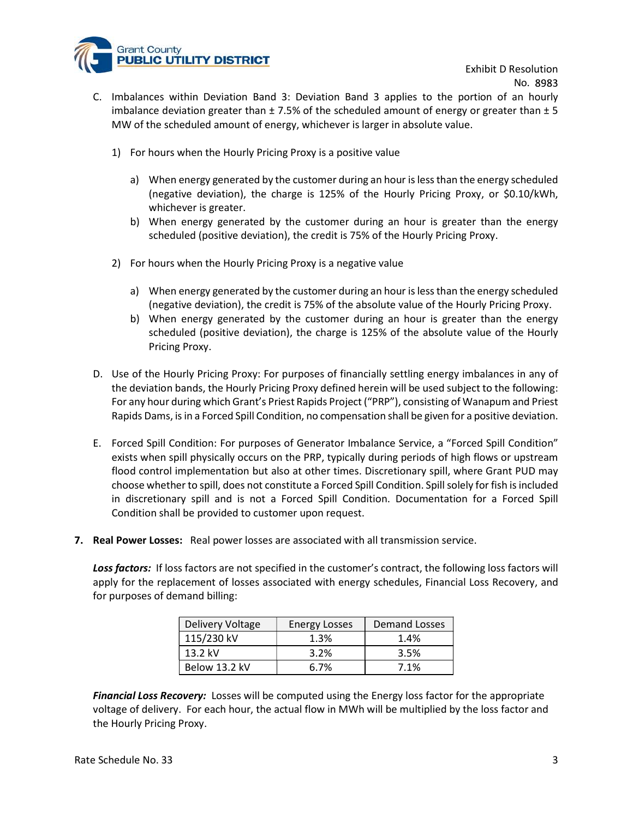

- Exhibit D Resolution<br>No. 8983<br>ortion of an hourly<br>or greater than  $\pm$  5<br>e. **C. Imbalances within Deviation Band 3: Deviation Band 3 applies to the portion of an hourly imbalance deviation greater than ± 7.5% of the scheduled amount of energy or greater than ± 5 MW of the scheduled amount of energ** imbalance deviation greater than  $\pm 7.5\%$  of the scheduled amount of energy or greater than  $\pm 5$ MW of the scheduled amount of energy, whichever is larger in absolute value. Exhibit D Resolution<br>
1) For hours within Deviation Band 3: Deviation Band 3 applies to the portion of an hourly<br>
1) Imbalance deviation greater than ± 7.5% of the scheduled amount of energy or greater than ± 5<br>
1) For hou and County<br> **Exhibit D Resolution Sand 3** : Deviation Band 3 applies to the portion of an hourly<br>
alance deviation greater than ± 7.5% of the scheduled amount of energy or greater than ± 5<br>
of the scheduled amount of energ ant County<br> **BELIC UTILITY DISTRICT**<br>
lances within Deviation Band 3: Deviation Band 3 applies to the portion of an hourly<br>
blance deviation greater than  $\pm$  7.5% of the scheduled amount of energy or greater than  $\pm$  5<br> County<br> **Exhibit D Resolution**<br> **Exhibit D Resolution**<br>
Imbalances within Deviation Band 3: Deviation Band 3 applies to the portion of an hourly<br>
imbalance deviation greater than 17.5% of the scheduled amount of energy or Exhibit D Resolution<br>
alances within Deviation Band 3: Deviation Band 3 applies to the portion of an hourly<br>
alance deviation greater than ± 7.5% of the scheduled amount of energy or greater than ± 5<br>
of the scheduled amou Exhibit D Resolution<br>
Balances within Deviation Band 3: Deviation Band 3 applies to the portion of an hourly<br>
of the scheduled amount of energy or greater than  $\pm$  5<br>
of the scheduled amount of energy or greater than  $\pm$ 
	- - (negative deviation), the charge is 125% of the Hourly Pricing Proxy, or \$0.10/kWh, whichever is greater.
		- scheduled (positive deviation), the credit is 75% of the Hourly Pricing Proxy.
	- - (negative deviation), the credit is 75% of the absolute value of the Hourly Pricing Proxy.
		- scheduled (positive deviation), the charge is 125% of the absolute value of the Hourly Pricing Proxy.
- MW of the scheduled amount of energy, whichever is larger in absolute value.<br>
1) For hours when the Hourly Pricing Proxy is a positive value<br>
a) When energy generated by the customer during an hour is less than the energy the deviation bands, the Hourly Pricing Proxy defined herein will be used subject to the following: For any hour during which Grant's Priest Rapids Project ("PRP"), consisting of Wanapum and Priest Rapids Dams, is in a Forced Spill Condition, no compensation shall be given for a positive deviation.
- E. E. Forced Spill Condition: For purposes of Generator Imbalance Service, a "Forced Spill Condition shall be provided to customer uppo reaction. Decumentation for a Force of Subsequent Condition shall be providently prici exists when spill physically occurs on the PRP, typically during periods of high flows or upstream flood control implementation but also at other times. Discretionary spill, where Grant PUD may choose whether to spill, does not constitute a Forced Spill Condition. Spill solely for fish is included in discretionary spill and is not a Forced Spill Condition. Documentation for a Forced Spill Condition shall be provided to customer upon request. 2. When energy generated by the customer during an hour is less than the energy scheduled<br>
(hegative deviation), the credit is 75% of the absolute value of the Hourly Pricing Proxy.<br>
b) When energy generated by the custom in a Forced Spill Condition, no compensation shall be given for a positive deviation.<br>
Mition: For purposes of Generator Imbalance Service, a "Forced Spill Condition"<br>
I physically occurs on the PRP, typically during peri
- 

Loss factors: If loss factors are not specified in the customer's contract, the following loss factors will apply for the replacement of losses associated with energy schedules, Financial Loss Recovery, and for purposes of demand billing:

| Delivery Voltage | Energy Losses | Demand Losses |
|------------------|---------------|---------------|
| 115/230 kV       | 1.3%          | 1.4%          |
| 13.2 kV          | 3.2%          | 3.5%          |
| Below 13.2 kV    | 6.7%          | 7.1%          |

**Financial Loss Recovery:** Losses will be computed using the Energy loss factor for the appropriate voltage of delivery. For each hour, the actual flow in MWh will be multiplied by the loss factor and the Hourly Pricing Proxy.